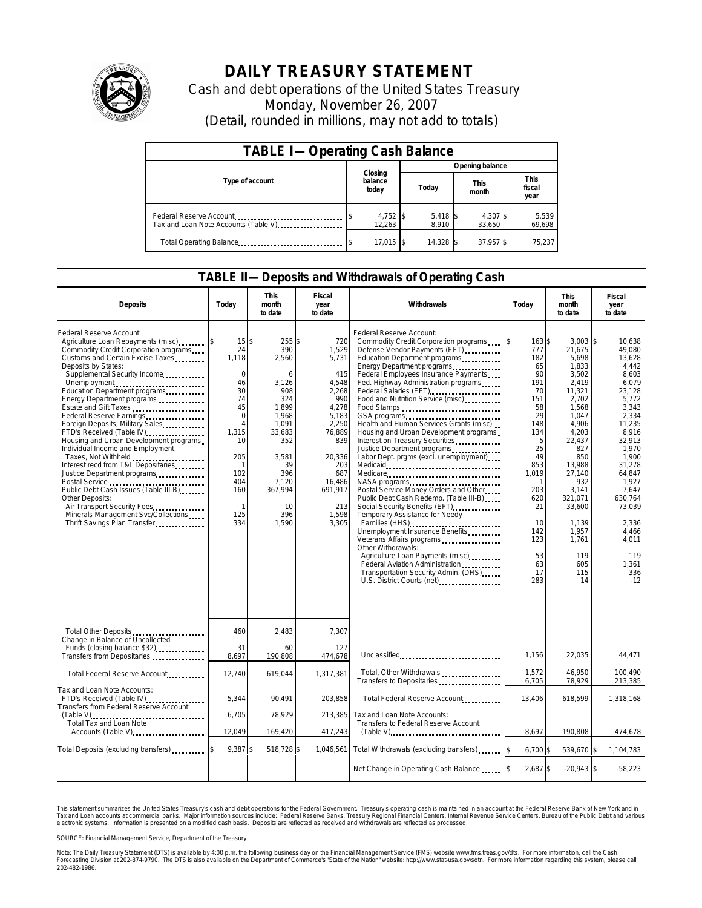

## **DAILY TREASURY STATEMENT**

Cash and debt operations of the United States Treasury Monday, November 26, 2007 (Detail, rounded in millions, may not add to totals)

| <b>TABLE I-Operating Cash Balance</b> |  |                             |                 |                     |  |                      |  |                               |  |
|---------------------------------------|--|-----------------------------|-----------------|---------------------|--|----------------------|--|-------------------------------|--|
|                                       |  |                             | Opening balance |                     |  |                      |  |                               |  |
| Type of account                       |  | Closing<br>balance<br>today |                 | Today               |  | <b>This</b><br>month |  | <b>This</b><br>fiscal<br>year |  |
| Tax and Loan Note Accounts (Table V)  |  | 4,752 \$<br>12.263          |                 | $5,418$ \$<br>8.910 |  | 4,307 \$<br>33.650   |  | 5,539<br>69,698               |  |
| Total Operating Balance               |  | $17.015$ \\$                |                 | 14.328 \$           |  | 37.957 \$            |  | 75.237                        |  |

## **TABLE II—Deposits and Withdrawals of Operating Cash**

| <b>Deposits</b>                                                                                                                                                                                                                                                                                                                                                                                                                                                                                                                                                                                                                                                                                                                            | Todav                                                                                                                                                      | <b>This</b><br>month<br>to date                                                                                                                                    | <b>Fiscal</b><br>year<br>to date                                                                                                                                        | Withdrawals                                                                                                                                                                                                                                                                                                                                                                                                                                                                                                                                                                                                                                                                                                                                                                                                                                                                                                                                  | Today                                                                                                                                                                          | <b>This</b><br>month<br>to date                                                                                                                                                                                                                        | Fiscal<br>year<br>to date                                                                                                                                                                                                                                       |
|--------------------------------------------------------------------------------------------------------------------------------------------------------------------------------------------------------------------------------------------------------------------------------------------------------------------------------------------------------------------------------------------------------------------------------------------------------------------------------------------------------------------------------------------------------------------------------------------------------------------------------------------------------------------------------------------------------------------------------------------|------------------------------------------------------------------------------------------------------------------------------------------------------------|--------------------------------------------------------------------------------------------------------------------------------------------------------------------|-------------------------------------------------------------------------------------------------------------------------------------------------------------------------|----------------------------------------------------------------------------------------------------------------------------------------------------------------------------------------------------------------------------------------------------------------------------------------------------------------------------------------------------------------------------------------------------------------------------------------------------------------------------------------------------------------------------------------------------------------------------------------------------------------------------------------------------------------------------------------------------------------------------------------------------------------------------------------------------------------------------------------------------------------------------------------------------------------------------------------------|--------------------------------------------------------------------------------------------------------------------------------------------------------------------------------|--------------------------------------------------------------------------------------------------------------------------------------------------------------------------------------------------------------------------------------------------------|-----------------------------------------------------------------------------------------------------------------------------------------------------------------------------------------------------------------------------------------------------------------|
| Federal Reserve Account:<br>Agriculture Loan Repayments (misc)<br>Commodity Credit Corporation programs<br>Customs and Certain Excise Taxes<br>Deposits by States:<br>Supplemental Security Income<br>Unemployment<br>Education Department programs<br>Energy Department programs<br>Estate and Gift Taxes<br>Foreign Deposits, Military Sales<br>FTD's Received (Table IV)<br>Housing and Urban Development programs<br>Individual Income and Employment<br>Taxes, Not Withheld<br>Interest recd from T&L Depositaries<br>Justice Department programs<br>Postal Service<br>Public Debt Cash Issues (Table III-B)<br>Other Deposits:<br>Air Transport Security Fees<br>Minerals Management Svc/Collections<br>Thrift Savings Plan Transfer | 15<br>24<br>1,118<br>$\Omega$<br>46<br>30<br>74<br>45<br>$\mathbf 0$<br>$\overline{4}$<br>1,315<br>10<br>205<br>1<br>102<br>404<br>160<br>-1<br>125<br>334 | \$<br>255S<br>390<br>2,560<br>6<br>3.126<br>908<br>324<br>1,899<br>1,968<br>1,091<br>33,683<br>352<br>3,581<br>39<br>396<br>7,120<br>367,994<br>10<br>396<br>1,590 | 720<br>1,529<br>5,731<br>415<br>4,548<br>2,268<br>990<br>4,278<br>5,183<br>2,250<br>76,889<br>839<br>20,336<br>203<br>687<br>16,486<br>691,917<br>213<br>1.598<br>3,305 | Federal Reserve Account:<br>Commodity Credit Corporation programs<br>Defense Vendor Payments (EFT)<br>Education Department programs<br>Energy Department programs<br>Federal Employees Insurance Payments<br>Fed. Highway Administration programs<br>Federal Salaries (EFT)<br>Food and Nutrition Service (misc)<br>Food Stamps<br>Health and Human Services Grants (misc)<br>Housing and Urban Development programs<br>Interest on Treasury Securities.<br>Justice Department programs<br>Labor Dept. prgms (excl. unemployment)<br>Medicare<br>NASA programs<br>Postal Service Money Orders and Other<br>Public Debt Cash Redemp. (Table III-B)<br>Social Security Benefits (EFT)<br>Temporary Assistance for Needy<br>Families (HHS)<br>Unemployment Insurance Benefits<br>Veterans Affairs programs<br>Other Withdrawals:<br>Agriculture Loan Payments (misc)<br>Federal Aviation Administration<br>Transportation Security Admin. (DHS) | 163S<br>777<br>182<br>65<br>90<br>191<br>70<br>151<br>58<br>29<br>148<br>134<br>5<br>25<br>49<br>853<br>1,019<br>203<br>620<br>21<br>10<br>142<br>123<br>53<br>63<br>17<br>283 | $3.003$ \$<br>21,675<br>5,698<br>1,833<br>3,502<br>2,419<br>11,321<br>2.702<br>1,568<br>1,047<br>4,906<br>4,203<br>22,437<br>827<br>850<br>13,988<br>27,140<br>932<br>3,141<br>321,071<br>33,600<br>1,139<br>1,957<br>1,761<br>119<br>605<br>115<br>14 | 10.638<br>49.080<br>13,628<br>4.442<br>8.603<br>6.079<br>23,128<br>5.772<br>3,343<br>2,334<br>11,235<br>8,916<br>32,913<br>1.970<br>1.900<br>31,278<br>64,847<br>1,927<br>7,647<br>630.764<br>73,039<br>2,336<br>4,466<br>4,011<br>119<br>1.361<br>336<br>$-12$ |
| Total Other Deposits<br>Change in Balance of Uncollected                                                                                                                                                                                                                                                                                                                                                                                                                                                                                                                                                                                                                                                                                   | 460<br>31                                                                                                                                                  | 2,483<br>60                                                                                                                                                        | 7.307<br>127                                                                                                                                                            |                                                                                                                                                                                                                                                                                                                                                                                                                                                                                                                                                                                                                                                                                                                                                                                                                                                                                                                                              |                                                                                                                                                                                |                                                                                                                                                                                                                                                        |                                                                                                                                                                                                                                                                 |
| Funds (closing balance \$32)<br>Transfers from Depositaries                                                                                                                                                                                                                                                                                                                                                                                                                                                                                                                                                                                                                                                                                | 8,697                                                                                                                                                      | 190,808                                                                                                                                                            | 474,678                                                                                                                                                                 | Unclassified                                                                                                                                                                                                                                                                                                                                                                                                                                                                                                                                                                                                                                                                                                                                                                                                                                                                                                                                 | 1,156                                                                                                                                                                          | 22,035                                                                                                                                                                                                                                                 | 44,471                                                                                                                                                                                                                                                          |
| Total Federal Reserve Account                                                                                                                                                                                                                                                                                                                                                                                                                                                                                                                                                                                                                                                                                                              | 12,740                                                                                                                                                     | 619,044                                                                                                                                                            | 1,317,381                                                                                                                                                               | Total, Other Withdrawals<br>Transfers to Depositaries                                                                                                                                                                                                                                                                                                                                                                                                                                                                                                                                                                                                                                                                                                                                                                                                                                                                                        | 1.572<br>6,705                                                                                                                                                                 | 46,950<br>78,929                                                                                                                                                                                                                                       | 100.490<br>213,385                                                                                                                                                                                                                                              |
| Tax and Loan Note Accounts:<br>FTD's Received (Table IV)<br>Transfers from Federal Reserve Account                                                                                                                                                                                                                                                                                                                                                                                                                                                                                                                                                                                                                                         | 5,344                                                                                                                                                      | 90,491                                                                                                                                                             | 203,858                                                                                                                                                                 | Total Federal Reserve Account                                                                                                                                                                                                                                                                                                                                                                                                                                                                                                                                                                                                                                                                                                                                                                                                                                                                                                                | 13,406                                                                                                                                                                         | 618,599                                                                                                                                                                                                                                                | 1,318,168                                                                                                                                                                                                                                                       |
| 6,705<br>Total Tax and Loan Note                                                                                                                                                                                                                                                                                                                                                                                                                                                                                                                                                                                                                                                                                                           | 78,929                                                                                                                                                     | 213,385                                                                                                                                                            | Tax and Loan Note Accounts:<br>Transfers to Federal Reserve Account                                                                                                     |                                                                                                                                                                                                                                                                                                                                                                                                                                                                                                                                                                                                                                                                                                                                                                                                                                                                                                                                              |                                                                                                                                                                                |                                                                                                                                                                                                                                                        |                                                                                                                                                                                                                                                                 |
| Accounts (Table V)                                                                                                                                                                                                                                                                                                                                                                                                                                                                                                                                                                                                                                                                                                                         | 12,049                                                                                                                                                     | 169,420                                                                                                                                                            | 417,243                                                                                                                                                                 |                                                                                                                                                                                                                                                                                                                                                                                                                                                                                                                                                                                                                                                                                                                                                                                                                                                                                                                                              | 8,697                                                                                                                                                                          | 190,808                                                                                                                                                                                                                                                | 474,678                                                                                                                                                                                                                                                         |
| Total Deposits (excluding transfers) [1000]                                                                                                                                                                                                                                                                                                                                                                                                                                                                                                                                                                                                                                                                                                | 9,387                                                                                                                                                      | 518,728 \$                                                                                                                                                         |                                                                                                                                                                         | 1,046,561 Total Withdrawals (excluding transfers)                                                                                                                                                                                                                                                                                                                                                                                                                                                                                                                                                                                                                                                                                                                                                                                                                                                                                            | 6,700 \$                                                                                                                                                                       | 539,670 \$                                                                                                                                                                                                                                             | 1,104,783                                                                                                                                                                                                                                                       |
|                                                                                                                                                                                                                                                                                                                                                                                                                                                                                                                                                                                                                                                                                                                                            |                                                                                                                                                            |                                                                                                                                                                    |                                                                                                                                                                         | Net Change in Operating Cash Balance                                                                                                                                                                                                                                                                                                                                                                                                                                                                                                                                                                                                                                                                                                                                                                                                                                                                                                         | 2,687 \$                                                                                                                                                                       | $-20,943$ \$                                                                                                                                                                                                                                           | $-58,223$                                                                                                                                                                                                                                                       |

This statement summarizes the United States Treasury's cash and debt operations for the Federal Government. Treasury's operating cash is maintained in an account at the Federal Reserve Bank of New York and in<br>Tax and Loan narizes the United States Treasury's cash and debt operations for the Federal Government. Treasury's operating cash is maintained in an account at the Federal Reserve Bank of<br>nts at commercial banks. Major information sour

SOURCE: Financial Management Service, Department of the Treasury

Note: The Daily Treasury Statement (DTS) is available by 4:00 p.m. the following business day on the Financial Management Service (FMS) website www.fms.treas.gov/dts. For more information, call the Cash<br>Forecasting Divisio 202-482-1986.